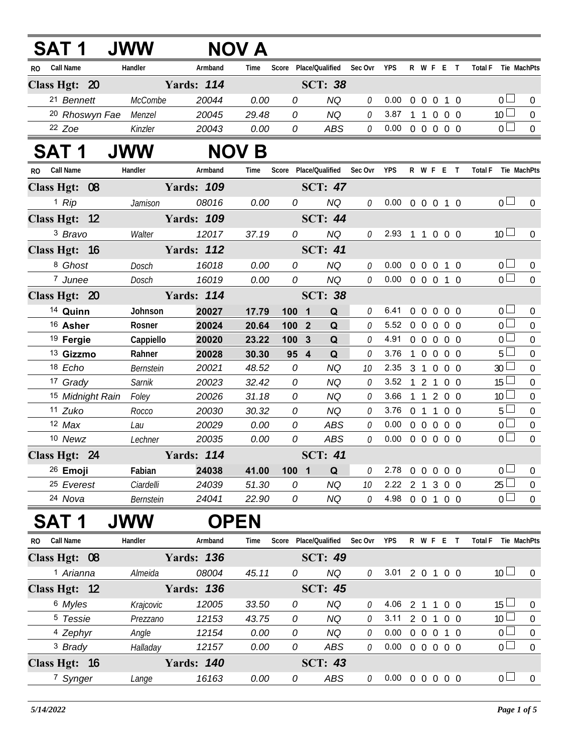| <b>SAT 1</b>                     | <b>JWW</b> |                   | NOV A        |            |                               |              |                            |                |                   |                |            |                               |                  |
|----------------------------------|------------|-------------------|--------------|------------|-------------------------------|--------------|----------------------------|----------------|-------------------|----------------|------------|-------------------------------|------------------|
| <b>Call Name</b><br><b>RO</b>    | Handler    | Armband           | Time         |            | Score Place/Qualified Sec Ovr |              | YPS                        |                | R W F E T         |                |            | Total F Tie MachPts           |                  |
| Class Hgt: 20                    |            | <b>Yards: 114</b> |              |            | <b>SCT: 38</b>                |              |                            |                |                   |                |            |                               |                  |
| 21 Bennett                       | McCombe    | 20044             | 0.00         | 0          | <b>NQ</b>                     | 0            | 0.00                       |                | 0 0 0 1 0         |                |            | 0 <sub>1</sub>                | $\overline{0}$   |
| <sup>20</sup> Rhoswyn Fae Menzel |            | 20045             | 29.48        | 0          | <b>NQ</b>                     | 0            | 3.87                       |                | 1 1 0 0 0         |                |            | 10 <sup>1</sup>               | $\mathbf 0$      |
| $22$ Zoe                         | Kinzler    | 20043             | 0.00         | 0          | <b>ABS</b>                    | 0            | 0.00                       |                | 0 0 0 0 0         |                |            | 0 <sup>1</sup>                | $\overline{0}$   |
| SAT 1                            | <b>JWW</b> |                   | <b>NOV B</b> |            |                               |              |                            |                |                   |                |            |                               |                  |
| RO Call Name                     | Handler    | Armband           | Time         |            | Score Place/Qualified         | Sec Ovr      | YPS                        |                | R W F E T         |                |            | Total F Tie MachPts           |                  |
| Class Hgt: 08                    |            | <b>Yards: 109</b> |              |            | <b>SCT: 47</b>                |              |                            |                |                   |                |            |                               |                  |
| $1$ Rip                          | Jamison    | 08016             | 0.00         | 0          | <b>NQ</b>                     | 0            | $0.00 \t0 \t0 \t0 \t1 \t0$ |                |                   |                |            | 0 <sub>0</sub>                | $\mathbf 0$      |
| Class Hgt: 12                    |            | <b>Yards: 109</b> |              |            | <b>SCT: 44</b>                |              |                            |                |                   |                |            |                               |                  |
| 3 Bravo                          | Walter     | 12017             | 37.19        | 0          | <b>NQ</b>                     | 0            | 2.93 1 1 0 0 0             |                |                   |                |            | 10 <sup>1</sup>               | $\overline{0}$   |
| Class Hgt: 16                    |            | <b>Yards: 112</b> |              |            | <b>SCT: 41</b>                |              |                            |                |                   |                |            |                               |                  |
| 8 Ghost                          | Dosch      | 16018             | 0.00         | 0          | <b>NQ</b>                     | 0            | 0.00                       |                | 0 0 0 1 0         |                |            | 0 <sub>0</sub>                | $\pmb{0}$        |
| 7 Junee                          | Dosch      | 16019             | 0.00         | 0          | <b>NQ</b>                     | 0            | $0.00 \t0 \t0 \t0 \t1 \t0$ |                |                   |                |            | $\overline{0}$                | $\overline{0}$   |
| Class Hgt: 20                    |            | <b>Yards: 114</b> |              |            | <b>SCT: 38</b>                |              |                            |                |                   |                |            |                               |                  |
| 14 Quinn                         | Johnson    | 20027             | 17.79        | 100        | Q<br>$\overline{\mathbf{1}}$  | 0            | 6.41                       |                | 0 0 0 0 0         |                |            | $\overline{0}$                | $\overline{0}$   |
| <sup>16</sup> Asher              | Rosner     | 20024             | 20.64        | 100 2      | Q                             | $\mathcal O$ | 5.52 0 0 0 0 0             |                |                   |                |            | $\overline{0}$                | $\overline{0}$   |
| <sup>19</sup> Fergie             | Cappiello  | 20020             | 23.22        | 100        | $\mathbf{3}$<br>Q             | 0            | 4.91                       |                | 0 0 0 0 0         |                |            | $\overline{0}$                | $\mathbf 0$      |
| <sup>13</sup> Gizzmo             | Rahner     | 20028             | 30.30        | 95 4       | Q                             | 0            | 3.76                       | $\overline{1}$ | 0 0 0 0           |                |            | $5\Box$                       | $\mathbf 0$      |
| 18 Echo                          | Bernstein  | 20021             | 48.52        | ${\cal O}$ | <b>NQ</b>                     | 10           | 2.35 3 1 0 0 0             |                |                   |                |            | 30 <sup>2</sup>               | $\mathbf 0$      |
| 17 Grady                         | Sarnik     | 20023             | 32.42        | 0          | <b>NQ</b>                     | 0            | 3.52 1 2 1 0 0             |                |                   |                |            | $15 \Box$                     | $\mathbf 0$      |
| 15 Midnight Rain                 | Foley      | 20026             | 31.18        | 0          | <b>NQ</b>                     | 0            | 3.66                       |                | 1 1 2 0 0         |                |            | 10 <sup>1</sup>               | $\mathbf 0$      |
| 11 Zuko                          | Rocco      | 20030             | 30.32        | 0          | <b>NQ</b>                     | $\mathcal O$ | 3.76                       |                | 0 1 1 0 0         |                |            | $5\Box$                       | $\mathbf 0$      |
| $12$ Max                         | Lau        | 20029             | 0.00         | 0          | ABS                           | 0            | 0.00                       |                | $0\quad 0\quad 0$ |                | $0\quad 0$ | 0 <sub>0</sub>                | $\boldsymbol{0}$ |
| 10 Newz                          | Lechner    | 20035             | 0.00         | 0          | <b>ABS</b>                    | 0            | 0.00                       |                | 0 0 0 0 0         |                |            | 0 <sub>0</sub>                | $\overline{0}$   |
| Class Hgt: 24                    |            | <b>Yards: 114</b> |              |            | <b>SCT: 41</b>                |              |                            |                |                   |                |            |                               |                  |
| <sup>26</sup> Emoji              | Fabian     | 24038             | 41.00        | 100 1      | Q                             | 0            | 2.78                       |                | 00000             |                |            | 0 <sub>0</sub>                | 0                |
| <sup>25</sup> Everest            | Ciardelli  | 24039             | 51.30        | 0          | <b>NQ</b>                     | 10           | 2.22 2 1 3 0 0             |                |                   |                |            | $25 \Box$                     | $\boldsymbol{0}$ |
| 24 Nova                          | Bernstein  | 24041             | 22.90        | 0          | NQ                            | 0            | 4.98 0 0 1                 |                |                   |                | $0\quad 0$ | 0 <sub>1</sub>                | $\overline{0}$   |
| SAT 1                            | <b>JWW</b> | <b>OPEN</b>       |              |            |                               |              |                            |                |                   |                |            |                               |                  |
| <b>Call Name</b><br>RO.          | Handler    | Armband           | Time         |            | Score Place/Qualified         | Sec Ovr      | <b>YPS</b>                 |                | R W F E T         |                |            | <b>Total F</b><br>Tie MachPts |                  |
| Class Hgt: 08                    |            | <b>Yards: 136</b> |              |            | <b>SCT: 49</b>                |              |                            |                |                   |                |            |                               |                  |
| 1 Arianna                        | Almeida    | 08004             | 45.11        | 0          | <b>NQ</b>                     | 0            | 3.01 2 0 1 0 0             |                |                   |                |            | $10$ $\Box$                   | $\boldsymbol{0}$ |
| Class Hgt: 12                    |            | <b>Yards: 136</b> |              |            | <b>SCT: 45</b>                |              |                            |                |                   |                |            |                               |                  |
| 6 Myles                          | Krajcovic  | 12005             | 33.50        | 0          | <b>NQ</b>                     | 0            | 4.06                       |                | 2 <sub>1</sub>    | $\overline{1}$ | $0\quad 0$ | $15 \Box$                     | $\boldsymbol{0}$ |
| <sup>5</sup> Tessie              | Prezzano   | 12153             | 43.75        | 0          | <b>NQ</b>                     | 0            | 3.11                       |                | 2 0 1 0 0         |                |            | 10 <sup>1</sup>               | $\pmb{0}$        |
| <sup>4</sup> Zephyr              | Angle      | 12154             | 0.00         | 0          | <b>NQ</b>                     | $\mathcal O$ | 0.00                       |                | 0 0 0 1 0         |                |            | $\overline{0}$                | $\overline{0}$   |
| <sup>3</sup> Brady               | Halladay   | 12157             | 0.00         | 0          | ABS                           | 0            | 0.00                       |                | 0 0 0 0 0         |                |            | $\overline{0}$                | $\overline{0}$   |
| Class Hgt: 16                    |            | <b>Yards: 140</b> |              |            | <b>SCT: 43</b>                |              |                            |                |                   |                |            |                               |                  |
| 7 Synger                         | Lange      | 16163             | 0.00         | 0          | ABS                           | 0            | $0.00 \t0 \t0 \t0 \t0 \t0$ |                |                   |                |            | 0 <sub>0</sub>                | $\overline{0}$   |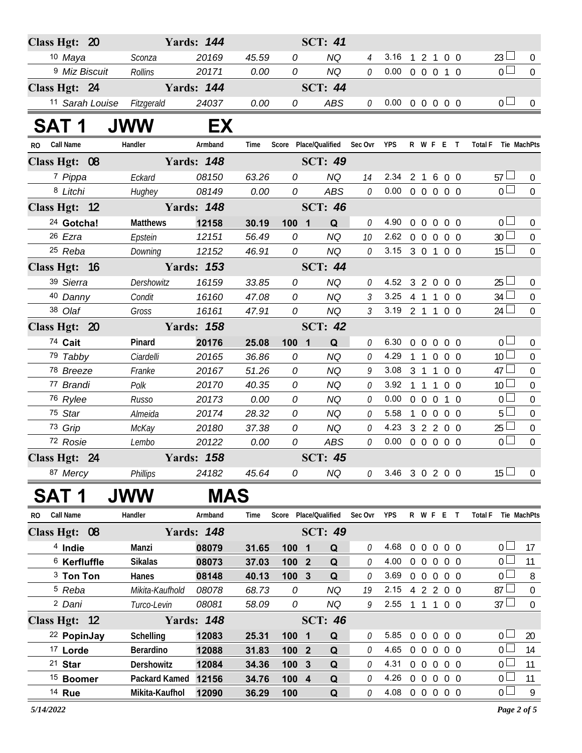| Class Hgt: 20              |                 | <b>Yards: 144</b> |       |                       | <b>SCT: 41</b> |                |                            |            |                |            |                               |                  |
|----------------------------|-----------------|-------------------|-------|-----------------------|----------------|----------------|----------------------------|------------|----------------|------------|-------------------------------|------------------|
| 10 Maya                    | Sconza          | 20169             | 45.59 | 0                     | <b>NQ</b>      | $\overline{4}$ | 3.16 1 2 1 0 0             |            |                |            | $23 \Box$                     | $\overline{0}$   |
| <sup>9</sup> Miz Biscuit   | Rollins         | 20171             | 0.00  | 0                     | <b>NQ</b>      | 0              | 0.00                       |            | 0 0 0 1 0      |            | $\overline{0}$ $\Box$         | $\mathbf 0$      |
| Class Hgt: 24              |                 | <b>Yards: 144</b> |       |                       | <b>SCT: 44</b> |                |                            |            |                |            |                               |                  |
| 11 Sarah Louise Fitzgerald |                 | 24037             | 0.00  | 0                     | ABS            |                | $0$ 0.00 0 0 0 0 0         |            |                |            | 0 <sub>0</sub>                | $\overline{0}$   |
| <b>SAT1</b>                | <b>JWW</b>      | EX                |       |                       |                |                |                            |            |                |            |                               |                  |
| RO Call Name               | Handler         | Armband           | Time  | Score Place/Qualified |                | Sec Ovr YPS    |                            |            | R W F E T      |            | Total F Tie MachPts           |                  |
| Class Hgt: 08              |                 | <b>Yards: 148</b> |       |                       | <b>SCT: 49</b> |                |                            |            |                |            |                               |                  |
| 7 Pippa                    | Eckard          | 08150             | 63.26 | 0                     | NQ             | 14             | 2.34                       |            | 2 1 6 0 0      |            | $57 \Box$                     | $\overline{0}$   |
| 8 Litchi                   | Hughey          | 08149             | 0.00  | 0                     | ABS            | 0              | $0.00 \t0 \t0 \t0 \t0 \t0$ |            |                |            | 0 <sub>1</sub>                | $\mathbf 0$      |
| Class Hgt: 12              |                 | <b>Yards: 148</b> |       |                       | <b>SCT: 46</b> |                |                            |            |                |            |                               |                  |
| <sup>24</sup> Gotcha!      | <b>Matthews</b> | 12158             | 30.19 | $100 \quad 1$         | Q              | 0              | 4.90                       |            | 0 0 0 0 0      |            | 0 <sub>1</sub>                | 0                |
| 26 Ezra                    | Epstein         | 12151             | 56.49 | 0                     | <b>NQ</b>      | 10             | 2.62                       |            | 0 0 0 0 0      |            | 30 <sup>L</sup>               | $\boldsymbol{0}$ |
| 25 Reba                    | Downing         | 12152             | 46.91 | 0                     | NQ             | 0              | 3.15 3 0 1 0 0             |            |                |            | 15 <sup>1</sup>               | $\mathbf 0$      |
| Class Hgt: 16              |                 | <b>Yards: 153</b> |       |                       | <b>SCT: 44</b> |                |                            |            |                |            |                               |                  |
| 39 Sierra                  | Dershowitz      | 16159             | 33.85 | 0                     | <b>NQ</b>      | 0              | 4.52 3 2 0 0 0             |            |                |            | 25 <sup>L</sup>               | $\mathbf 0$      |
| 40 Danny                   | Condit          | 16160             | 47.08 | $\overline{O}$        | <b>NQ</b>      | $\mathfrak{Z}$ | 3.25 4 1 1 0 0             |            |                |            | $34 \Box$                     | $\boldsymbol{0}$ |
| 38 Olaf                    | Gross           | 16161             | 47.91 | 0                     | <b>NQ</b>      | $\mathfrak{Z}$ | 3.19 2 1 1 0 0             |            |                |            | 24 <sup>L</sup>               | $\mathbf 0$      |
| Class Hgt: 20              |                 | <b>Yards: 158</b> |       |                       | <b>SCT: 42</b> |                |                            |            |                |            |                               |                  |
| 74 Cait                    | Pinard          | 20176             | 25.08 | 100 1                 | Q              | 0              | 6.30                       |            | 0 0 0 0 0      |            | 0 <sub>1</sub>                | $\pmb{0}$        |
| 79 Tabby                   | Ciardelli       | 20165             | 36.86 | 0                     | <b>NQ</b>      | 0              | 4.29                       |            | 1 1 0 0 0      |            | 10 <sup>L</sup>               | $\overline{0}$   |
| 78 Breeze                  | Franke          | 20167             | 51.26 | 0                     | <b>NQ</b>      | 9              | 3.08                       |            | 3 1 1 0 0      |            | $47 \Box$                     | $\boldsymbol{0}$ |
| 77 Brandi                  | Polk            | 20170             | 40.35 | 0                     | <b>NQ</b>      | 0              | 3.92                       |            | 1 1 1 0 0      |            | 10 <sup>2</sup>               | 0                |
| 76 Rylee                   | Russo           | 20173             | 0.00  | 0                     | <b>NQ</b>      | 0              | 0.00                       |            | 0 0 0 1 0      |            | $\overline{0}$                | $\boldsymbol{0}$ |
| 75 Star                    | Almeida         | 20174             | 28.32 | 0                     | <b>NQ</b>      | 0              | 5.58                       |            | 1 0 0 0 0      |            | 5 <sup>L</sup>                | $\boldsymbol{0}$ |
| 73 Grip                    | McKay           | 20180             | 37.38 | 0                     | <b>NQ</b>      | $\mathcal O$   | 4.23                       |            | 3 2 2 0 0      |            | $25 \Box$                     | $\boldsymbol{0}$ |
| 72 Rosie                   | Lembo           | 20122             | 0.00  | 0                     | ABS            | 0              | 0.00                       |            | 0 0 0 0 0      |            | 0 <sub>0</sub>                | $\boldsymbol{0}$ |
| Class Hgt: 24              |                 | <b>Yards: 158</b> |       |                       | <b>SCT: 45</b> |                |                            |            |                |            |                               |                  |
| 87 Mercy                   | <b>Phillips</b> | 24182             | 45.64 | 0                     | NQ             |                | $0$ 3.46 3 0 2 0 0         |            |                |            | 15 <sup>1</sup>               | $\overline{0}$   |
| SAT 1                      | <b>JWW</b>      | MAS               |       |                       |                |                |                            |            |                |            |                               |                  |
| Call Name<br>RO.           | Handler         | Armband           | Time  | Score Place/Qualified |                | Sec Ovr        | <b>YPS</b>                 |            | R W F E T      |            | <b>Total F</b><br>Tie MachPts |                  |
| Class Hgt: 08              |                 | <b>Yards: 148</b> |       |                       | <b>SCT: 49</b> |                |                            |            |                |            |                               |                  |
| <sup>4</sup> Indie         | Manzi           | 08079             | 31.65 | 100 1                 | Q              | 0              | 4.68                       | $0\quad 0$ | $\overline{0}$ | $0\quad 0$ | 0 <sub>0</sub>                | 17               |
| $6$ Kerfluffle             | <b>Sikalas</b>  | 08073             | 37.03 | 100 2                 | Q              | 0              | 4.00                       |            | 00000          |            | 0 l                           | 11               |
| <sup>3</sup> Ton Ton       | Hanes           | 08148             | 40.13 | 100<br>$\mathbf{3}$   | Q              | 0              | 3.69                       |            | 0 0 0 0 0      |            | 0 <sup>L</sup>                | 8                |
| <sup>5</sup> Reba          | Mikita-Kaufhold | 08078             | 68.73 | 0                     | <b>NQ</b>      | 19             | 2.15                       |            | 4 2 2 0 0      |            | 87 <sup>1</sup>               | $\boldsymbol{0}$ |
| <sup>2</sup> Dani          | Turco-Levin     | 08081             | 58.09 | 0                     | <b>NQ</b>      | 9              | 2.55                       |            | 1 1 1 0 0      |            | $37 -$                        | $\mathbf 0$      |
| Class Hgt: 12              |                 | <b>Yards: 148</b> |       |                       | <b>SCT: 46</b> |                |                            |            |                |            |                               |                  |
| <sup>22</sup> PopinJay     | Schelling       | 12083             | 25.31 | 100 1                 | Q              | 0              | 5.85                       |            | 0 0 0 0 0      |            | 0 <sub>0</sub>                | 20               |
| <sup>17</sup> Lorde        | Berardino       | 12088             | 31.83 | 100 2                 | Q              | $\mathcal O$   | 4.65                       |            | 0 0 0 0 0      |            | $0\perp$                      | 14               |
| $21$ Star                  | Dershowitz      | 12084             | 34.36 | 100 3                 | Q              | 0              | 4.31                       |            | 0 0 0 0 0      |            | 0 L                           | 11               |
| <sup>15</sup> Boomer       | Packard Kamed   | 12156             | 34.76 | 100 4                 | Q              | 0              | 4.26                       |            | 0 0 0 0 0      |            | 0 <sup>1</sup>                | 11               |
| 14 Rue                     | Mikita-Kaufhol  | 12090             | 36.29 | 100                   | $\mathbf Q$    | 0              | 4.08 0 0 0 0 0             |            |                |            | 0 <sub>1</sub>                | 9                |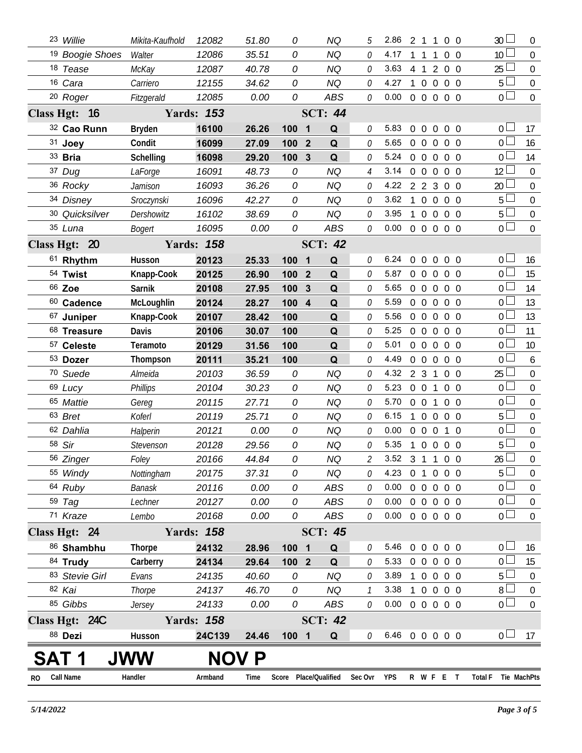|    | 23 Willie                  | Mikita-Kaufhold | 12082             | 51.80 | 0                     |                  | ΝQ             | 5                        | 2.86                       |                | 2 1 1             |                | 0 <sub>0</sub>    |            | 30                  | $\mathbf{0}$     |
|----|----------------------------|-----------------|-------------------|-------|-----------------------|------------------|----------------|--------------------------|----------------------------|----------------|-------------------|----------------|-------------------|------------|---------------------|------------------|
|    | <sup>19</sup> Boogie Shoes | Walter          | 12086             | 35.51 | 0                     |                  | <b>NQ</b>      | 0                        | 4.17                       | 1              | $\overline{1}$    | 1              | $0\quad 0$        |            | 10 <sup>°</sup>     | $\overline{0}$   |
|    | 18 Tease                   | McKay           | 12087             | 40.78 | 0                     |                  | NQ             | 0                        | 3.63                       |                | 4 1 2 0 0         |                |                   |            | 25 <sub>2</sub>     | $\mathbf 0$      |
|    | 16 Cara                    | Carriero        | 12155             | 34.62 | 0                     |                  | <b>NQ</b>      | 0                        | 4.27                       | $\mathbf{1}$   | $\overline{0}$    | $\overline{0}$ | $0\quad 0$        |            | 5                   | $\mathbf 0$      |
|    | <sup>20</sup> Roger        | Fitzgerald      | 12085             | 0.00  | 0                     |                  | <b>ABS</b>     | 0                        | 0.00                       |                | 0 0 0 0 0         |                |                   |            | $0-$                | $\overline{0}$   |
|    | Class Hgt: 16              |                 | <b>Yards: 153</b> |       |                       |                  | <b>SCT: 44</b> |                          |                            |                |                   |                |                   |            |                     |                  |
|    | 32 Cao Runn                | <b>Bryden</b>   | 16100             | 26.26 | 100                   | $\blacksquare$   | Q              | 0                        | 5.83                       | $\overline{0}$ | $\overline{0}$    | $\overline{0}$ | $0\quad 0$        |            | 0 <sup>1</sup>      | 17               |
|    | 31 Joey                    | Condit          | 16099             | 27.09 | 100                   | $\boldsymbol{2}$ | Q              | 0                        | 5.65                       |                | 0 <sub>0</sub>    | $\overline{0}$ | 0 <sub>0</sub>    |            | 0 <sup>1</sup>      | 16               |
|    | 33 <b>Bria</b>             | Schelling       | 16098             | 29.20 | 100                   | $\boldsymbol{3}$ | Q              | 0                        | 5.24                       |                | $0\quad 0\quad 0$ |                | $0\quad 0$        |            | $\Omega$            | 14               |
|    | 37 Dug                     | LaForge         | 16091             | 48.73 | 0                     |                  | <b>NQ</b>      | 4                        | 3.14                       |                | 00000             |                |                   |            | $12 \overline{ }$   | $\overline{0}$   |
|    | 36 Rocky                   | Jamison         | 16093             | 36.26 | 0                     |                  | <b>NQ</b>      | 0                        | 4.22                       |                | $2 \t2 \t3$       |                | $0\quad 0$        |            | 20                  | $\mathbf 0$      |
|    | 34 Disney                  | Sroczynski      | 16096             | 42.27 | 0                     |                  | NQ             | 0                        | 3.62                       | $\overline{1}$ | 0 0 0 0           |                |                   |            | 5                   | $\mathbf 0$      |
|    | 30 Quicksilver             | Dershowitz      | 16102             | 38.69 | 0                     |                  | <b>NQ</b>      | 0                        | 3.95                       | $\mathbf{1}$   | 0 0 0 0           |                |                   |            | 5                   | $\mathbf 0$      |
|    | 35 Luna                    | <b>Bogert</b>   | 16095             | 0.00  | 0                     |                  | <b>ABS</b>     | 0                        | 0.00                       |                | 0 0 0 0 0         |                |                   |            | $0-$                | $\overline{0}$   |
|    | Class Hgt: 20              |                 | <b>Yards: 158</b> |       |                       |                  | <b>SCT: 42</b> |                          |                            |                |                   |                |                   |            |                     |                  |
|    | 61 Rhythm                  | Husson          | 20123             | 25.33 | 100                   | $\blacksquare$   | Q              | 0                        | 6.24                       | $\overline{0}$ | $\overline{0}$    | $\mathbf 0$    | $0\quad 0$        |            | $\overline{0}$      | 16               |
|    | 54 Twist                   | Knapp-Cook      | 20125             | 26.90 | 100                   | $\boldsymbol{2}$ | Q              | 0                        | 5.87                       |                | $0\quad 0$        | $\overline{0}$ | 0 <sub>0</sub>    |            | 0 l                 | 15               |
|    | 66 Zoe                     | <b>Sarnik</b>   | 20108             | 27.95 | 100                   | $\mathbf{3}$     | Q              | 0                        | 5.65                       |                | $0\quad 0$        | $\overline{0}$ | 0 <sub>0</sub>    |            | $\overline{0}$      | 14               |
|    | 60 Cadence                 | McLoughlin      | 20124             | 28.27 | 100 4                 |                  | Q              | O.                       | 5.59                       |                | 0 <sub>0</sub>    | $\overline{0}$ | 0 <sub>0</sub>    |            | $\overline{0}$      | 13               |
|    | 67 Juniper                 | Knapp-Cook      | 20107             | 28.42 | 100                   |                  | Q              | 0                        | 5.56                       |                | $0\quad 0$        | $\overline{0}$ | $0\quad 0$        |            | $\overline{0}$      | 13               |
|    | 68 Treasure                | Davis           | 20106             | 30.07 | 100                   |                  | Q              | 0                        | 5.25                       |                | $0\quad 0$        |                | $0\quad 0\quad 0$ |            | $\overline{0}$      | 11               |
|    | 57 Celeste                 | Teramoto        | 20129             | 31.56 | 100                   |                  | Q              | 0                        | 5.01                       |                | $0\quad 0$        | $\overline{0}$ | $0\quad 0$        |            | $\overline{0}$      | 10 <sup>1</sup>  |
|    | 53 Dozer                   | Thompson        | 20111             | 35.21 | 100                   |                  | Q              | 0                        | 4.49                       |                | $0\quad 0$        | $\overline{0}$ | 0 <sub>0</sub>    |            | 0 <sup>1</sup>      | 6                |
|    | 70 Suede                   | Almeida         | 20103             | 36.59 | 0                     |                  | <b>NQ</b>      | 0                        | 4.32                       |                | 2 <sub>3</sub>    | $\mathbf{1}$   | $0\quad 0$        |            | 25                  | $\mathbf 0$      |
|    | 69 Lucy                    | <b>Phillips</b> | 20104             | 30.23 | 0                     |                  | <b>NQ</b>      | 0                        | 5.23                       |                | $0\quad 0$        | $\mathbf{1}$   | 0 <sub>0</sub>    |            | $\overline{0}$      | $\mathbf 0$      |
|    | 65 Mattie                  | Gereg           | 20115             | 27.71 | 0                     |                  | <b>NQ</b>      | 0                        | 5.70                       | $0\quad 0$     |                   | $\mathbf{1}$   | $0\quad 0$        |            | $\overline{0}$      | $\mathbf 0$      |
|    | 63 Bret                    | Koferl          | 20119             | 25.71 | 0                     |                  | <b>NQ</b>      | 0                        | 6.15                       | 1              | $\overline{0}$    | $\overline{0}$ | 0 <sub>0</sub>    |            | 5                   | $\mathbf 0$      |
|    | 62 Dahlia                  | Halperin        | 20121             | 0.00  | 0                     |                  | <b>NQ</b>      | 0                        | 0.00                       | $\overline{0}$ | $\overline{0}$    | $\mathbf 0$    |                   | $1\quad$ 0 | $\mathbf 0$         | $\mathbf 0$      |
|    | 58 Sir                     | Stevenson       | 20128             | 29.56 | 0                     |                  | <b>NQ</b>      | 0                        | 5.35                       | $\mathbf{1}$   | 0 0 0 0           |                |                   |            | 5                   | $\mathbf 0$      |
|    | 56 Zinger                  | Foley           | 20166             | 44.84 | 0                     |                  | <b>NQ</b>      | $\overline{\mathcal{L}}$ | 3.52 3 1 1 0 0             |                |                   |                |                   |            | 26                  | $0\,$            |
|    | 55 Windy                   | Nottingham      | 20175             | 37.31 | 0                     |                  | <b>NQ</b>      | 0                        | 4.23 0 1 0 0 0             |                |                   |                |                   |            | 5                   | $\boldsymbol{0}$ |
|    | 64 Ruby                    | <b>Banask</b>   | 20116             | 0.00  | 0                     |                  | ABS            | 0                        | 0.00                       |                | 0 0 0 0 0         |                |                   |            | $\overline{0}$      | $\boldsymbol{0}$ |
|    | 59 Tag                     | Lechner         | 20127             | 0.00  | 0                     |                  | <b>ABS</b>     | 0                        | 0.00                       |                | 0 0 0 0 0         |                |                   |            | 0 <sup>1</sup>      | $\boldsymbol{0}$ |
|    | 71 Kraze                   | Lembo           | 20168             | 0.00  | 0                     |                  | ABS            | 0                        | $0.00 \t0 \t0 \t0 \t0 \t0$ |                |                   |                |                   |            | $\overline{0}$      | 0                |
|    | Class Hgt: 24              |                 | <b>Yards: 158</b> |       |                       |                  | <b>SCT: 45</b> |                          |                            |                |                   |                |                   |            |                     |                  |
|    | 86 Shambhu                 | <b>Thorpe</b>   | 24132             | 28.96 | 100 1                 |                  | Q              | Ũ                        | 5.46                       | $\overline{0}$ | $\overline{0}$    |                | $0\quad 0\quad 0$ |            | 0 <sub>0</sub>      | 16               |
|    | 84 Trudy                   | Carberry        | 24134             | 29.64 | 100 2                 |                  | Q              | 0                        | 5.33 0 0 0 0 0             |                |                   |                |                   |            | 0 l                 | 15               |
|    | 83 Stevie Girl             | Evans           | 24135             | 40.60 | 0                     |                  | <b>NQ</b>      | 0                        | 3.89                       | $\mathbf{1}$   | 0 0 0 0           |                |                   |            | 5 <sup>1</sup>      | $\boldsymbol{0}$ |
|    | 82 Kai                     | Thorpe          | 24137             | 46.70 | 0                     |                  | NQ             | $\mathcal{I}$            | 3.38                       | $\overline{1}$ | $\overline{0}$    |                | $0\quad 0\quad 0$ |            | 8 l                 | $\mathbf 0$      |
|    | 85 Gibbs                   | Jersey          | 24133             | 0.00  | 0                     |                  | ABS            | 0                        | $0.00 \t0 \t0 \t0 \t0 \t0$ |                |                   |                |                   |            | $\overline{0}$      | $\mathbf 0$      |
|    | Class Hgt: 24C             |                 | <b>Yards: 158</b> |       |                       |                  | <b>SCT: 42</b> |                          |                            |                |                   |                |                   |            |                     |                  |
|    | 88 Dezi                    | Husson          | 24C139            | 24.46 | 100 1                 |                  | Q              | 0                        | 6.46 0 0 0 0 0             |                |                   |                |                   |            | 0 <sub>1</sub>      | 17               |
|    | SAT 1                      | <b>JWW</b>      | <b>NOV P</b>      |       |                       |                  |                |                          |                            |                |                   |                |                   |            |                     |                  |
|    |                            |                 |                   |       |                       |                  |                |                          |                            |                |                   |                |                   |            |                     |                  |
| RO | Call Name                  | Handler         | Armband           | Time  | Score Place/Qualified |                  |                | Sec Ovr YPS              |                            |                | R W F E T         |                |                   |            | Total F Tie MachPts |                  |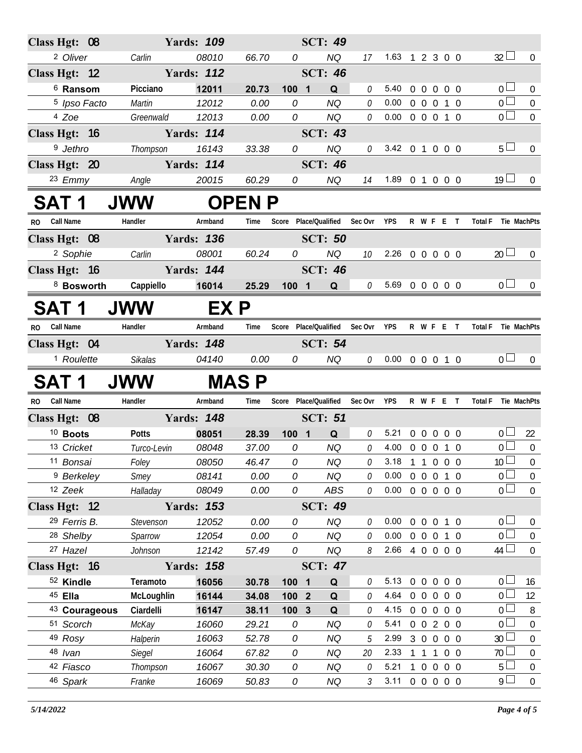| Class Hgt: 08                 |                    | <b>Yards: 109</b> |                |                               | <b>SCT: 49</b>         |                     |                            |           |            |                        |                          |
|-------------------------------|--------------------|-------------------|----------------|-------------------------------|------------------------|---------------------|----------------------------|-----------|------------|------------------------|--------------------------|
| <sup>2</sup> Oliver           | Carlin             | 08010             | 66.70          | 0                             | <b>NQ</b>              | 17                  | 1.63                       | 1 2 3 0 0 |            | $32 \Box$              | $\overline{0}$           |
| Class Hgt: 12                 |                    | <b>Yards: 112</b> |                |                               | <b>SCT: 46</b>         |                     |                            |           |            |                        |                          |
| <sup>6</sup> Ransom           | Picciano           | 12011             | 20.73          | 100 1                         | Q                      | $\mathcal O$        | 5.40                       | 0 0 0 0 0 |            | 0 <sub>l</sub>         | $\overline{0}$           |
| <sup>5</sup> Ipso Facto       | <b>Martin</b>      | 12012             | 0.00           | 0                             | <b>NQ</b>              | 0                   | 0.00                       | 0 0 0 1 0 |            | $\overline{0}$         | $\pmb{0}$                |
| 4 Zoe                         | Greenwald          | 12013             | 0.00           | 0                             | <b>NQ</b>              | 0                   | $0.00 \t0 \t0 \t0 \t1 \t0$ |           |            | $\overline{0}$         | $\mathbf{0}$             |
| Class Hgt: 16                 |                    | <b>Yards: 114</b> |                |                               | <b>SCT: 43</b>         |                     |                            |           |            |                        |                          |
| <sup>9</sup> Jethro           | Thompson           | 16143             | 33.38          | 0                             | <b>NQ</b>              | 0                   | 3.42 0 1 0 0 0             |           |            | 5 <sub>1</sub>         | $\overline{0}$           |
| Class Hgt: 20                 |                    | <b>Yards: 114</b> |                |                               | <b>SCT: 46</b>         |                     |                            |           |            |                        |                          |
| 23 Emmy                       | Angle              | 20015             | 60.29          | 0                             | <b>NQ</b>              | 14                  | 1.89 0 1 0 0 0             |           |            | 19 <sup>°</sup>        | $\overline{0}$           |
| <b>SAT 1</b>                  | <b>JWW</b>         |                   | <b>OPENP</b>   |                               |                        |                     |                            |           |            |                        |                          |
| <b>Call Name</b><br><b>RO</b> | Handler            | Armband           | Time           | Score Place/Qualified Sec Ovr |                        |                     | <b>YPS</b>                 | R W F E T |            | Total F Tie MachPts    |                          |
| Class Hgt: 08                 |                    | <b>Yards: 136</b> |                |                               | <b>SCT: 50</b>         |                     |                            |           |            |                        |                          |
| <sup>2</sup> Sophie           | Carlin             | 08001             | 60.24          | 0                             | <b>NQ</b>              | 10                  | $2.26$ 0 0 0 0 0           |           |            | $20 \Box$              | $\overline{0}$           |
| Class Hgt: $16$               |                    | <b>Yards: 144</b> |                |                               | <b>SCT: 46</b>         |                     |                            |           |            |                        |                          |
| 8 Bosworth                    | Cappiello          | 16014             | 25.29          | 1001                          | Q                      | $\mathcal O$        | 5.69 0 0 0 0 0             |           |            | 0 <sub>0</sub>         | $\theta$                 |
| <b>SAT 1</b>                  | <b>JWW</b>         | EX P              |                |                               |                        |                     |                            |           |            |                        |                          |
|                               |                    |                   |                |                               |                        |                     |                            |           |            |                        |                          |
| RO Call Name                  | Handler            | Armband           | Time           | Score Place/Qualified Sec Ovr |                        |                     | <b>YPS</b>                 | R W F E T |            | Total F Tie MachPts    |                          |
| Class Hgt: 04                 |                    | <b>Yards: 148</b> |                |                               | <b>SCT: 54</b>         |                     |                            |           |            |                        |                          |
| <sup>1</sup> Roulette         | Sikalas            | 04140             | 0.00           | 0                             | <b>NQ</b>              |                     | $0$ 0.00 0 0 0 1 0         |           |            | 0 <sub>0</sub>         | $\overline{0}$           |
|                               |                    |                   |                |                               |                        |                     |                            |           |            |                        |                          |
| <b>SAT 1</b>                  | <b>JWW</b>         |                   | <b>MASP</b>    |                               |                        |                     |                            |           |            |                        |                          |
| RO Call Name                  | Handler            | Armband           | Time           | Score Place/Qualified Sec Ovr |                        |                     | <b>YPS</b>                 | R W F E T |            | Total F Tie MachPts    |                          |
| Class Hgt: 08                 |                    | <b>Yards: 148</b> |                |                               | <b>SCT: 51</b>         |                     |                            |           |            |                        |                          |
| <sup>10</sup> Boots           | <b>Potts</b>       | 08051             | 28.39          | 100 1                         | Q                      | 0                   | 5.21                       | 0 0 0 0 0 |            | 0 <sub>0</sub>         | 22                       |
| 13 Cricket                    | Turco-Levin        | 08048             | 37.00          | 0                             | <b>NQ</b>              | $\theta$            | 4.00                       | 0 0 0 1 0 |            | 0 <sup>1</sup>         | $\overline{0}$           |
| 11 Bonsai                     | Foley              | 08050             | 46.47          | 0                             | NQ                     | 0                   | 3.18                       | 1 1 0 0 0 |            | $10\overline{\Box}$    | 0                        |
| <sup>9</sup> Berkeley         | Smey               | 08141             | 0.00           | 0                             | <b>NQ</b>              | $\theta$            | 0.00                       | 0 0 0 1 0 |            | 0 <sub>1</sub>         | $\overline{0}$           |
| 12 Zeek                       | Halladay           | 08049             | 0.00           | 0                             | ABS                    | 0                   | 0.00                       | 0 0 0 0 0 |            | 0 <sub>1</sub>         | $\mathbf{0}$             |
| Class Hgt: 12                 |                    | <b>Yards: 153</b> |                |                               | <b>SCT: 49</b>         |                     |                            |           |            |                        |                          |
| 29 Ferris B.                  | Stevenson          | 12052             | 0.00           | 0                             | <b>NQ</b>              | $\theta$            | 0.00                       | 0 0 0 1 0 |            | $0-$                   | $\overline{0}$           |
| <sup>28</sup> Shelby          | Sparrow            | 12054             | 0.00           | 0                             | <b>NQ</b>              | $\Omega$            | 0.00                       | 0 0 0 1 0 |            | $0 -$                  | $\overline{0}$           |
| 27 Hazel                      | Johnson            | 12142             | 57.49          | 0                             | <b>NQ</b>              | 8                   | 2.66 4 0 0 0 0             |           |            | $44 \Box$              | $\Omega$                 |
| Class Hgt: 16                 |                    | <b>Yards: 158</b> |                |                               | <b>SCT: 47</b>         |                     |                            |           |            |                        |                          |
| 52 Kindle                     | Teramoto           | 16056             | 30.78          | 100 1                         | Q                      | 0                   | 5.13                       | 0 0 0 0 0 |            | 0 L                    | 16                       |
| 45 Ella                       | McLoughlin         | 16144             | 34.08          | 100 2                         | Q                      | $\theta$            | 4.64                       | 0 0 0 0 0 |            | 0 <sup>1</sup>         | 12                       |
| 43 Courageous                 | Ciardelli          | 16147             | 38.11          | 100 3                         | Q                      | 0                   | 4.15                       | 00000     |            | 0 <sup>l</sup>         | 8                        |
| 51 Scorch                     | McKay              | 16060             | 29.21          | 0                             | <b>NQ</b>              | 0                   | 5.41                       | 0 0 2 0 0 |            | 0 l                    | $\boldsymbol{0}$         |
| 49 Rosy                       | Halperin           | 16063             | 52.78          | 0                             | <b>NQ</b>              | 5                   | 2.99                       | 3 0 0 0 0 |            | 30 <sup>2</sup>        | $\mathbf 0$              |
| 48 Ivan                       | <b>Siegel</b>      | 16064             | 67.82          | 0                             | <b>NQ</b>              | 20                  | 2.33                       | 1 1 1     | $0\quad 0$ | 70                     | $\boldsymbol{0}$         |
| 42 Fiasco<br>46 Spark         | Thompson<br>Franke | 16067<br>16069    | 30.30<br>50.83 | 0<br>${\cal O}$               | <b>NQ</b><br><b>NQ</b> | 0<br>$\mathfrak{Z}$ | 5.21<br>3.11 0 0 0 0 0     | 1 0 0 0 0 |            | 5 <sup>1</sup><br>$9+$ | $\pmb{0}$<br>$\mathbf 0$ |